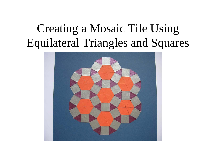### Creating a Mosaic Tile Using Equilateral Triangles and Squares

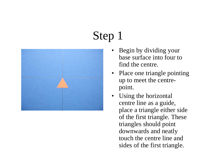

- Begin by dividing your base surface into four to find the centre.
- Place one triangle pointing up to meet the centrepoint.
- Using the horizontal centre line as a guide, place a triangle either side of the first triangle. These triangles should point downwards and neatly touch the centre line and sides of the first triangle.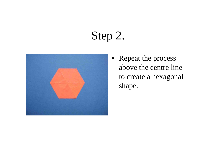#### Step 2.



• Repeat the process above the centre line to create a hexagonal shape.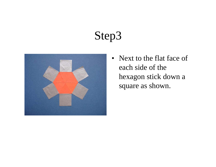

• Next to the flat face of each side of the hexagon stick down a square as shown.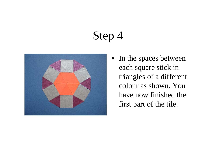![](_page_4_Picture_1.jpeg)

• In the spaces between each square stick in triangles of a different colour as shown. You have now finished the first part of the tile.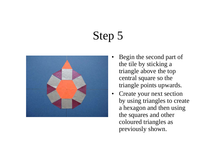![](_page_5_Picture_1.jpeg)

- • Begin the second part of the tile by sticking a triangle above the top central square so the triangle points upwards.
- Create your next section by using triangles to create a hexagon and then using the squares and other coloured triangles as previously shown.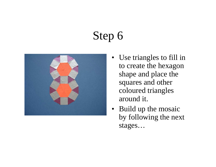![](_page_6_Picture_1.jpeg)

- Use triangles to fill in to create the hexagon shape and place the squares and other coloured triangles around it.
- Build up the mosaic by following the next stages…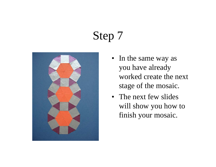![](_page_7_Picture_1.jpeg)

- In the same way as you have already worked create the next stage of the mosaic.
- The next few slides will show you how to finish your mosaic.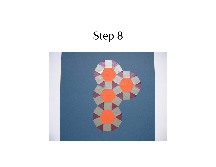![](_page_8_Picture_1.jpeg)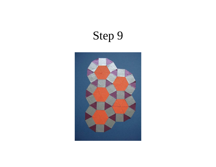![](_page_9_Picture_1.jpeg)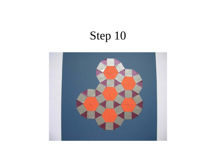![](_page_10_Picture_1.jpeg)